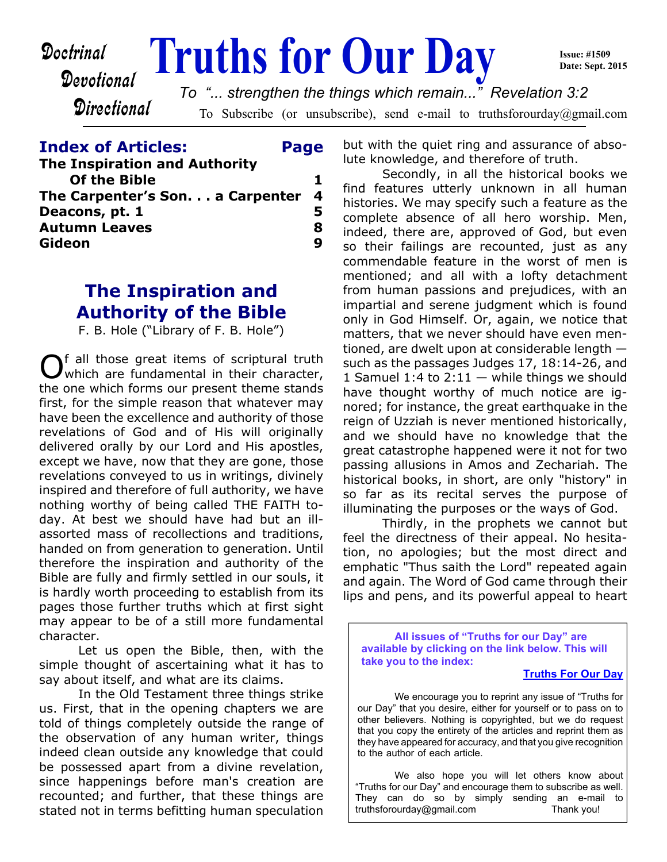Devotional

# **Doctrinal** Truths for Our Day

**Issue: #1509 Date: Sept. 2015**

**Directional** 

To Subscribe (or unsubscribe), send e-mail to truthsforourday@gmail.com *To "... strengthen the things which remain..." Revelation 3:2*

#### **Index of Articles: Page**

| <b>The Inspiration and Authority</b> |   |
|--------------------------------------|---|
| <b>Of the Bible</b>                  |   |
| The Carpenter's Son. a Carpenter 4   |   |
| Deacons, pt. 1                       | 5 |
| <b>Autumn Leaves</b>                 | 8 |
| Gideon                               | q |

# **The Inspiration and Authority of the Bible**

F. B. Hole ("Library of F. B. Hole")

O f all those great items of scriptural truth which are fundamental in their character, the one which forms our present theme stands first, for the simple reason that whatever may have been the excellence and authority of those revelations of God and of His will originally delivered orally by our Lord and His apostles, except we have, now that they are gone, those revelations conveyed to us in writings, divinely inspired and therefore of full authority, we have nothing worthy of being called THE FAITH today. At best we should have had but an illassorted mass of recollections and traditions, handed on from generation to generation. Until therefore the inspiration and authority of the Bible are fully and firmly settled in our souls, it is hardly worth proceeding to establish from its pages those further truths which at first sight may appear to be of a still more fundamental character.

 Let us open the Bible, then, with the simple thought of ascertaining what it has to say about itself, and what are its claims.

 In the Old Testament three things strike us. First, that in the opening chapters we are told of things completely outside the range of the observation of any human writer, things indeed clean outside any knowledge that could be possessed apart from a divine revelation, since happenings before man's creation are recounted; and further, that these things are stated not in terms befitting human speculation

but with the quiet ring and assurance of absolute knowledge, and therefore of truth.

 Secondly, in all the historical books we find features utterly unknown in all human histories. We may specify such a feature as the complete absence of all hero worship. Men, indeed, there are, approved of God, but even so their failings are recounted, just as any commendable feature in the worst of men is mentioned; and all with a lofty detachment from human passions and prejudices, with an impartial and serene judgment which is found only in God Himself. Or, again, we notice that matters, that we never should have even mentioned, are dwelt upon at considerable length such as the passages Judges 17, 18:14-26, and 1 Samuel 1:4 to  $2:11 -$  while things we should have thought worthy of much notice are ignored; for instance, the great earthquake in the reign of Uzziah is never mentioned historically, and we should have no knowledge that the great catastrophe happened were it not for two passing allusions in Amos and Zechariah. The historical books, in short, are only "history" in so far as its recital serves the purpose of illuminating the purposes or the ways of God.

 Thirdly, in the prophets we cannot but feel the directness of their appeal. No hesitation, no apologies; but the most direct and emphatic "Thus saith the Lord" repeated again and again. The Word of God came through their lips and pens, and its powerful appeal to heart

**All issues of "Truths for our Day" are available by clicking on the link below. This will take you to the index:**

#### **[Truths For Our Day](http://truthsforourday.com)**

 We encourage you to reprint any issue of "Truths for our Day" that you desire, either for yourself or to pass on to other believers. Nothing is copyrighted, but we do request that you copy the entirety of the articles and reprint them as they have appeared for accuracy, and that you give recognition to the author of each article.

 We also hope you will let others know about "Truths for our Day" and encourage them to subscribe as well. They can do so by simply sending an e-mail to truthsforourday@gmail.com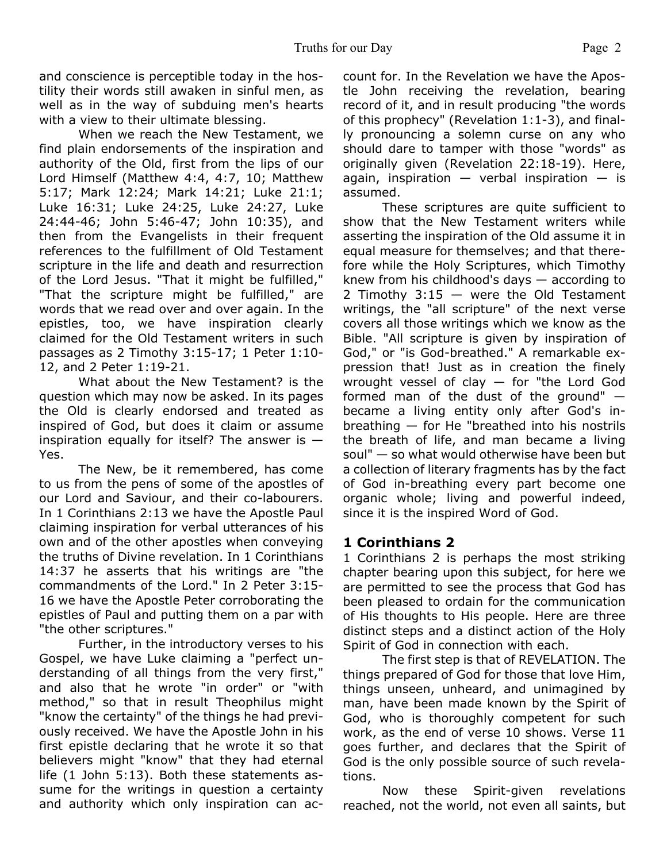and conscience is perceptible today in the hostility their words still awaken in sinful men, as well as in the way of subduing men's hearts with a view to their ultimate blessing.

 When we reach the New Testament, we find plain endorsements of the inspiration and authority of the Old, first from the lips of our Lord Himself (Matthew 4:4, 4:7, 10; Matthew 5:17; Mark 12:24; Mark 14:21; Luke 21:1; Luke 16:31; Luke 24:25, Luke 24:27, Luke 24:44-46; John 5:46-47; John 10:35), and then from the Evangelists in their frequent references to the fulfillment of Old Testament scripture in the life and death and resurrection of the Lord Jesus. "That it might be fulfilled," "That the scripture might be fulfilled," are words that we read over and over again. In the epistles, too, we have inspiration clearly claimed for the Old Testament writers in such passages as 2 Timothy 3:15-17; 1 Peter 1:10- 12, and 2 Peter 1:19-21.

 What about the New Testament? is the question which may now be asked. In its pages the Old is clearly endorsed and treated as inspired of God, but does it claim or assume inspiration equally for itself? The answer is  $-$ Yes.

 The New, be it remembered, has come to us from the pens of some of the apostles of our Lord and Saviour, and their co-labourers. In 1 Corinthians 2:13 we have the Apostle Paul claiming inspiration for verbal utterances of his own and of the other apostles when conveying the truths of Divine revelation. In 1 Corinthians 14:37 he asserts that his writings are "the commandments of the Lord." In 2 Peter 3:15- 16 we have the Apostle Peter corroborating the epistles of Paul and putting them on a par with "the other scriptures."

 Further, in the introductory verses to his Gospel, we have Luke claiming a "perfect understanding of all things from the very first," and also that he wrote "in order" or "with method," so that in result Theophilus might "know the certainty" of the things he had previously received. We have the Apostle John in his first epistle declaring that he wrote it so that believers might "know" that they had eternal life (1 John 5:13). Both these statements assume for the writings in question a certainty and authority which only inspiration can account for. In the Revelation we have the Apostle John receiving the revelation, bearing record of it, and in result producing "the words of this prophecy" (Revelation 1:1-3), and finally pronouncing a solemn curse on any who should dare to tamper with those "words" as originally given (Revelation 22:18-19). Here, again, inspiration  $-$  verbal inspiration  $-$  is assumed.

 These scriptures are quite sufficient to show that the New Testament writers while asserting the inspiration of the Old assume it in equal measure for themselves; and that therefore while the Holy Scriptures, which Timothy knew from his childhood's days — according to 2 Timothy  $3:15 -$  were the Old Testament writings, the "all scripture" of the next verse covers all those writings which we know as the Bible. "All scripture is given by inspiration of God," or "is God-breathed." A remarkable expression that! Just as in creation the finely wrought vessel of clay  $-$  for "the Lord God formed man of the dust of the ground" became a living entity only after God's inbreathing — for He "breathed into his nostrils the breath of life, and man became a living soul" — so what would otherwise have been but a collection of literary fragments has by the fact of God in-breathing every part become one organic whole; living and powerful indeed, since it is the inspired Word of God.

#### **1 Corinthians 2**

1 Corinthians 2 is perhaps the most striking chapter bearing upon this subject, for here we are permitted to see the process that God has been pleased to ordain for the communication of His thoughts to His people. Here are three distinct steps and a distinct action of the Holy Spirit of God in connection with each.

 The first step is that of REVELATION. The things prepared of God for those that love Him, things unseen, unheard, and unimagined by man, have been made known by the Spirit of God, who is thoroughly competent for such work, as the end of verse 10 shows. Verse 11 goes further, and declares that the Spirit of God is the only possible source of such revelations.

 Now these Spirit-given revelations reached, not the world, not even all saints, but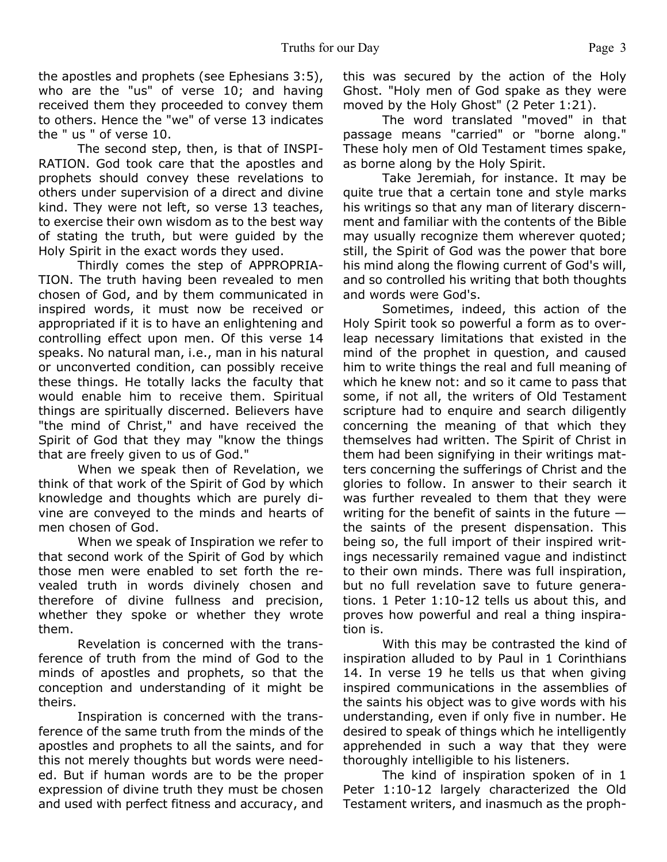the apostles and prophets (see Ephesians 3:5), who are the "us" of verse 10; and having received them they proceeded to convey them to others. Hence the "we" of verse 13 indicates the " us " of verse 10.

 The second step, then, is that of INSPI-RATION. God took care that the apostles and prophets should convey these revelations to others under supervision of a direct and divine kind. They were not left, so verse 13 teaches, to exercise their own wisdom as to the best way of stating the truth, but were guided by the Holy Spirit in the exact words they used.

 Thirdly comes the step of APPROPRIA-TION. The truth having been revealed to men chosen of God, and by them communicated in inspired words, it must now be received or appropriated if it is to have an enlightening and controlling effect upon men. Of this verse 14 speaks. No natural man, i.e., man in his natural or unconverted condition, can possibly receive these things. He totally lacks the faculty that would enable him to receive them. Spiritual things are spiritually discerned. Believers have "the mind of Christ," and have received the Spirit of God that they may "know the things that are freely given to us of God."

 When we speak then of Revelation, we think of that work of the Spirit of God by which knowledge and thoughts which are purely divine are conveyed to the minds and hearts of men chosen of God.

 When we speak of Inspiration we refer to that second work of the Spirit of God by which those men were enabled to set forth the revealed truth in words divinely chosen and therefore of divine fullness and precision, whether they spoke or whether they wrote them.

 Revelation is concerned with the transference of truth from the mind of God to the minds of apostles and prophets, so that the conception and understanding of it might be theirs.

 Inspiration is concerned with the transference of the same truth from the minds of the apostles and prophets to all the saints, and for this not merely thoughts but words were needed. But if human words are to be the proper expression of divine truth they must be chosen and used with perfect fitness and accuracy, and this was secured by the action of the Holy Ghost. "Holy men of God spake as they were moved by the Holy Ghost" (2 Peter 1:21).

 The word translated "moved" in that passage means "carried" or "borne along." These holy men of Old Testament times spake, as borne along by the Holy Spirit.

Take Jeremiah, for instance. It may be quite true that a certain tone and style marks his writings so that any man of literary discernment and familiar with the contents of the Bible may usually recognize them wherever quoted; still, the Spirit of God was the power that bore his mind along the flowing current of God's will, and so controlled his writing that both thoughts and words were God's.

 Sometimes, indeed, this action of the Holy Spirit took so powerful a form as to overleap necessary limitations that existed in the mind of the prophet in question, and caused him to write things the real and full meaning of which he knew not: and so it came to pass that some, if not all, the writers of Old Testament scripture had to enquire and search diligently concerning the meaning of that which they themselves had written. The Spirit of Christ in them had been signifying in their writings matters concerning the sufferings of Christ and the glories to follow. In answer to their search it was further revealed to them that they were writing for the benefit of saints in the future  $$ the saints of the present dispensation. This being so, the full import of their inspired writings necessarily remained vague and indistinct to their own minds. There was full inspiration, but no full revelation save to future generations. 1 Peter 1:10-12 tells us about this, and proves how powerful and real a thing inspiration is.

 With this may be contrasted the kind of inspiration alluded to by Paul in 1 Corinthians 14. In verse 19 he tells us that when giving inspired communications in the assemblies of the saints his object was to give words with his understanding, even if only five in number. He desired to speak of things which he intelligently apprehended in such a way that they were thoroughly intelligible to his listeners.

 The kind of inspiration spoken of in 1 Peter 1:10-12 largely characterized the Old Testament writers, and inasmuch as the proph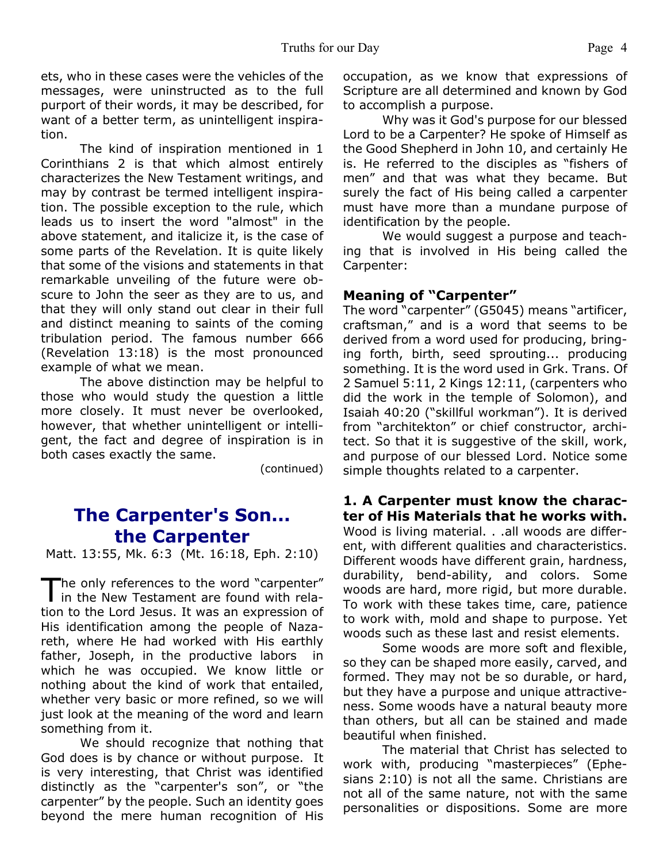ets, who in these cases were the vehicles of the messages, were uninstructed as to the full purport of their words, it may be described, for want of a better term, as unintelligent inspiration.

 The kind of inspiration mentioned in 1 Corinthians 2 is that which almost entirely characterizes the New Testament writings, and may by contrast be termed intelligent inspiration. The possible exception to the rule, which leads us to insert the word "almost" in the above statement, and italicize it, is the case of some parts of the Revelation. It is quite likely that some of the visions and statements in that remarkable unveiling of the future were obscure to John the seer as they are to us, and that they will only stand out clear in their full and distinct meaning to saints of the coming tribulation period. The famous number 666 (Revelation 13:18) is the most pronounced example of what we mean.

 The above distinction may be helpful to those who would study the question a little more closely. It must never be overlooked, however, that whether unintelligent or intelligent, the fact and degree of inspiration is in both cases exactly the same.

(continued)

### **The Carpenter's Son... the Carpenter**

Matt. 13:55, Mk. 6:3 (Mt. 16:18, Eph. 2:10)

The only references to the word "carpenter"<br>in the New Testament are found with relahe only references to the word "carpenter" tion to the Lord Jesus. It was an expression of His identification among the people of Nazareth, where He had worked with His earthly father, Joseph, in the productive labors in which he was occupied. We know little or nothing about the kind of work that entailed, whether very basic or more refined, so we will just look at the meaning of the word and learn something from it.

 We should recognize that nothing that God does is by chance or without purpose. It is very interesting, that Christ was identified distinctly as the "carpenter's son", or "the carpenter" by the people. Such an identity goes beyond the mere human recognition of His occupation, as we know that expressions of Scripture are all determined and known by God to accomplish a purpose.

 Why was it God's purpose for our blessed Lord to be a Carpenter? He spoke of Himself as the Good Shepherd in John 10, and certainly He is. He referred to the disciples as "fishers of men" and that was what they became. But surely the fact of His being called a carpenter must have more than a mundane purpose of identification by the people.

 We would suggest a purpose and teaching that is involved in His being called the Carpenter:

#### **Meaning of "Carpenter"**

The word "carpenter" (G5045) means "artificer, craftsman," and is a word that seems to be derived from a word used for producing, bringing forth, birth, seed sprouting... producing something. It is the word used in Grk. Trans. Of 2 Samuel 5:11, 2 Kings 12:11, (carpenters who did the work in the temple of Solomon), and Isaiah 40:20 ("skillful workman"). It is derived from "architekton" or chief constructor, architect. So that it is suggestive of the skill, work, and purpose of our blessed Lord. Notice some simple thoughts related to a carpenter.

**1. A Carpenter must know the character of His Materials that he works with.** Wood is living material. . .all woods are different, with different qualities and characteristics. Different woods have different grain, hardness, durability, bend-ability, and colors. Some woods are hard, more rigid, but more durable. To work with these takes time, care, patience to work with, mold and shape to purpose. Yet woods such as these last and resist elements.

 Some woods are more soft and flexible, so they can be shaped more easily, carved, and formed. They may not be so durable, or hard, but they have a purpose and unique attractiveness. Some woods have a natural beauty more than others, but all can be stained and made beautiful when finished.

 The material that Christ has selected to work with, producing "masterpieces" (Ephesians 2:10) is not all the same. Christians are not all of the same nature, not with the same personalities or dispositions. Some are more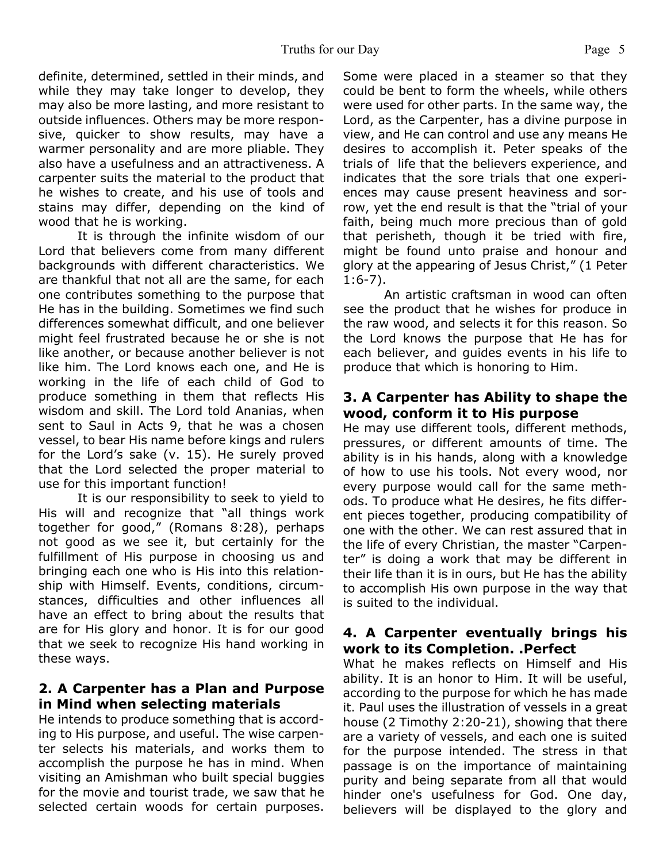definite, determined, settled in their minds, and while they may take longer to develop, they may also be more lasting, and more resistant to outside influences. Others may be more responsive, quicker to show results, may have a warmer personality and are more pliable. They also have a usefulness and an attractiveness. A carpenter suits the material to the product that he wishes to create, and his use of tools and stains may differ, depending on the kind of wood that he is working.

 It is through the infinite wisdom of our Lord that believers come from many different backgrounds with different characteristics. We are thankful that not all are the same, for each one contributes something to the purpose that He has in the building. Sometimes we find such differences somewhat difficult, and one believer might feel frustrated because he or she is not like another, or because another believer is not like him. The Lord knows each one, and He is working in the life of each child of God to produce something in them that reflects His wisdom and skill. The Lord told Ananias, when sent to Saul in Acts 9, that he was a chosen vessel, to bear His name before kings and rulers for the Lord's sake (v. 15). He surely proved that the Lord selected the proper material to use for this important function!

 It is our responsibility to seek to yield to His will and recognize that "all things work together for good," (Romans 8:28), perhaps not good as we see it, but certainly for the fulfillment of His purpose in choosing us and bringing each one who is His into this relationship with Himself. Events, conditions, circumstances, difficulties and other influences all have an effect to bring about the results that are for His glory and honor. It is for our good that we seek to recognize His hand working in these ways.

#### **2. A Carpenter has a Plan and Purpose in Mind when selecting materials**

He intends to produce something that is according to His purpose, and useful. The wise carpenter selects his materials, and works them to accomplish the purpose he has in mind. When visiting an Amishman who built special buggies for the movie and tourist trade, we saw that he selected certain woods for certain purposes. Some were placed in a steamer so that they could be bent to form the wheels, while others were used for other parts. In the same way, the Lord, as the Carpenter, has a divine purpose in view, and He can control and use any means He desires to accomplish it. Peter speaks of the trials of life that the believers experience, and indicates that the sore trials that one experiences may cause present heaviness and sorrow, yet the end result is that the "trial of your faith, being much more precious than of gold that perisheth, though it be tried with fire, might be found unto praise and honour and glory at the appearing of Jesus Christ," (1 Peter 1:6-7).

An artistic craftsman in wood can often see the product that he wishes for produce in the raw wood, and selects it for this reason. So the Lord knows the purpose that He has for each believer, and guides events in his life to produce that which is honoring to Him.

#### **3. A Carpenter has Ability to shape the wood, conform it to His purpose**

He may use different tools, different methods, pressures, or different amounts of time. The ability is in his hands, along with a knowledge of how to use his tools. Not every wood, nor every purpose would call for the same methods. To produce what He desires, he fits different pieces together, producing compatibility of one with the other. We can rest assured that in the life of every Christian, the master "Carpenter" is doing a work that may be different in their life than it is in ours, but He has the ability to accomplish His own purpose in the way that is suited to the individual.

#### **4. A Carpenter eventually brings his work to its Completion. .Perfect**

What he makes reflects on Himself and His ability. It is an honor to Him. It will be useful, according to the purpose for which he has made it. Paul uses the illustration of vessels in a great house (2 Timothy 2:20-21), showing that there are a variety of vessels, and each one is suited for the purpose intended. The stress in that passage is on the importance of maintaining purity and being separate from all that would hinder one's usefulness for God. One day, believers will be displayed to the glory and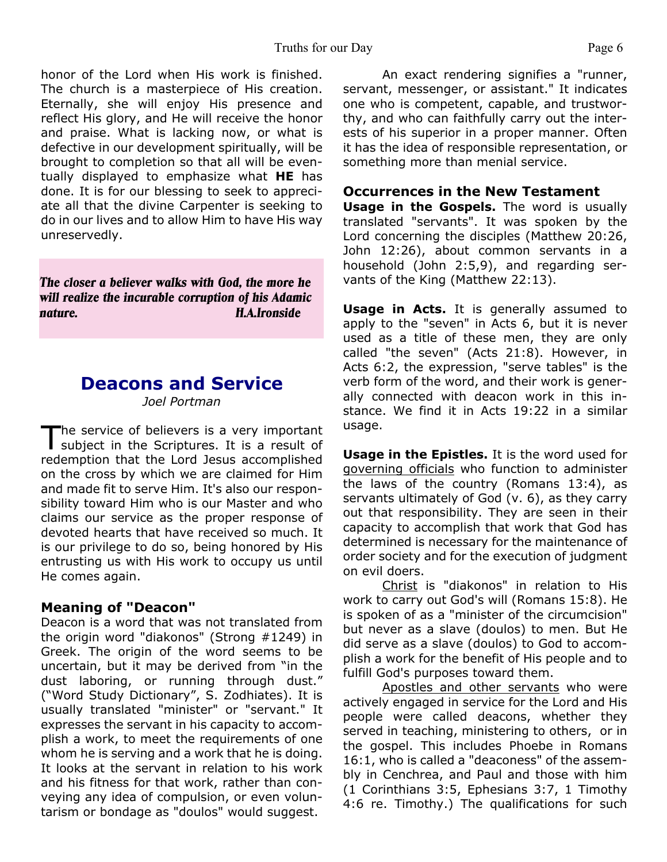honor of the Lord when His work is finished. The church is a masterpiece of His creation. Eternally, she will enjoy His presence and reflect His glory, and He will receive the honor and praise. What is lacking now, or what is defective in our development spiritually, will be brought to completion so that all will be eventually displayed to emphasize what **HE** has done. It is for our blessing to seek to appreciate all that the divine Carpenter is seeking to do in our lives and to allow Him to have His way unreservedly.

*The closer a believer walks with God, the more he will realize the incurable corruption of his Adamic nature. H.A.Ironside*

# **Deacons and Service**

*Joel Portman*

 $\mathsf T$ he service of believers is a very important subject in the Scriptures. It is a result of redemption that the Lord Jesus accomplished on the cross by which we are claimed for Him and made fit to serve Him. It's also our responsibility toward Him who is our Master and who claims our service as the proper response of devoted hearts that have received so much. It is our privilege to do so, being honored by His entrusting us with His work to occupy us until He comes again.

#### **Meaning of "Deacon"**

Deacon is a word that was not translated from the origin word "diakonos" (Strong #1249) in Greek. The origin of the word seems to be uncertain, but it may be derived from "in the dust laboring, or running through dust." ("Word Study Dictionary", S. Zodhiates). It is usually translated "minister" or "servant." It expresses the servant in his capacity to accomplish a work, to meet the requirements of one whom he is serving and a work that he is doing. It looks at the servant in relation to his work and his fitness for that work, rather than conveying any idea of compulsion, or even voluntarism or bondage as "doulos" would suggest.

 An exact rendering signifies a "runner, servant, messenger, or assistant." It indicates one who is competent, capable, and trustworthy, and who can faithfully carry out the interests of his superior in a proper manner. Often it has the idea of responsible representation, or something more than menial service.

#### **Occurrences in the New Testament**

**Usage in the Gospels.** The word is usually translated "servants". It was spoken by the Lord concerning the disciples (Matthew 20:26, John 12:26), about common servants in a household (John 2:5,9), and regarding servants of the King (Matthew 22:13).

**Usage in Acts.** It is generally assumed to apply to the "seven" in Acts 6, but it is never used as a title of these men, they are only called "the seven" (Acts 21:8). However, in Acts 6:2, the expression, "serve tables" is the verb form of the word, and their work is generally connected with deacon work in this instance. We find it in Acts 19:22 in a similar usage.

**Usage in the Epistles.** It is the word used for governing officials who function to administer the laws of the country (Romans 13:4), as servants ultimately of God (v. 6), as they carry out that responsibility. They are seen in their capacity to accomplish that work that God has determined is necessary for the maintenance of order society and for the execution of judgment on evil doers.

Christ is "diakonos" in relation to His work to carry out God's will (Romans 15:8). He is spoken of as a "minister of the circumcision" but never as a slave (doulos) to men. But He did serve as a slave (doulos) to God to accomplish a work for the benefit of His people and to fulfill God's purposes toward them.

Apostles and other servants who were actively engaged in service for the Lord and His people were called deacons, whether they served in teaching, ministering to others, or in the gospel. This includes Phoebe in Romans 16:1, who is called a "deaconess" of the assembly in Cenchrea, and Paul and those with him (1 Corinthians 3:5, Ephesians 3:7, 1 Timothy 4:6 re. Timothy.) The qualifications for such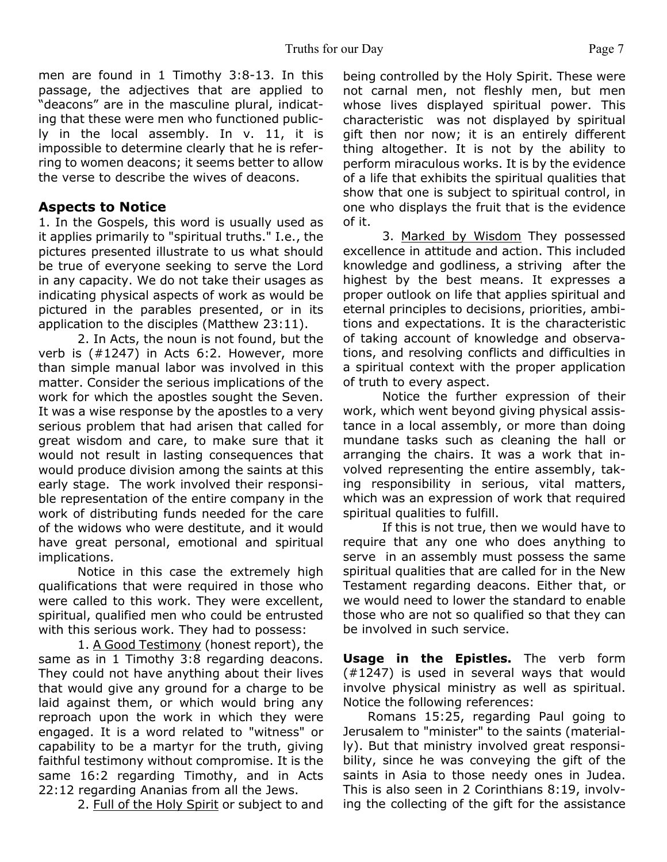men are found in 1 Timothy 3:8-13. In this passage, the adjectives that are applied to "deacons" are in the masculine plural, indicating that these were men who functioned publicly in the local assembly. In v. 11, it is impossible to determine clearly that he is referring to women deacons; it seems better to allow the verse to describe the wives of deacons.

#### **Aspects to Notice**

1. In the Gospels, this word is usually used as it applies primarily to "spiritual truths." I.e., the pictures presented illustrate to us what should be true of everyone seeking to serve the Lord in any capacity. We do not take their usages as indicating physical aspects of work as would be pictured in the parables presented, or in its application to the disciples (Matthew 23:11).

2. In Acts, the noun is not found, but the verb is (#1247) in Acts 6:2. However, more than simple manual labor was involved in this matter. Consider the serious implications of the work for which the apostles sought the Seven. It was a wise response by the apostles to a very serious problem that had arisen that called for great wisdom and care, to make sure that it would not result in lasting consequences that would produce division among the saints at this early stage. The work involved their responsible representation of the entire company in the work of distributing funds needed for the care of the widows who were destitute, and it would have great personal, emotional and spiritual implications.

 Notice in this case the extremely high qualifications that were required in those who were called to this work. They were excellent, spiritual, qualified men who could be entrusted with this serious work. They had to possess:

1. A Good Testimony (honest report), the same as in 1 Timothy 3:8 regarding deacons. They could not have anything about their lives that would give any ground for a charge to be laid against them, or which would bring any reproach upon the work in which they were engaged. It is a word related to "witness" or capability to be a martyr for the truth, giving faithful testimony without compromise. It is the same 16:2 regarding Timothy, and in Acts 22:12 regarding Ananias from all the Jews.

2. Full of the Holy Spirit or subject to and

being controlled by the Holy Spirit. These were not carnal men, not fleshly men, but men whose lives displayed spiritual power. This characteristic was not displayed by spiritual gift then nor now; it is an entirely different thing altogether. It is not by the ability to perform miraculous works. It is by the evidence of a life that exhibits the spiritual qualities that show that one is subject to spiritual control, in one who displays the fruit that is the evidence of it.

3. Marked by Wisdom They possessed excellence in attitude and action. This included knowledge and godliness, a striving after the highest by the best means. It expresses a proper outlook on life that applies spiritual and eternal principles to decisions, priorities, ambitions and expectations. It is the characteristic of taking account of knowledge and observations, and resolving conflicts and difficulties in a spiritual context with the proper application of truth to every aspect.

 Notice the further expression of their work, which went beyond giving physical assistance in a local assembly, or more than doing mundane tasks such as cleaning the hall or arranging the chairs. It was a work that involved representing the entire assembly, taking responsibility in serious, vital matters, which was an expression of work that required spiritual qualities to fulfill.

 If this is not true, then we would have to require that any one who does anything to serve in an assembly must possess the same spiritual qualities that are called for in the New Testament regarding deacons. Either that, or we would need to lower the standard to enable those who are not so qualified so that they can be involved in such service.

**Usage in the Epistles.** The verb form (#1247) is used in several ways that would involve physical ministry as well as spiritual. Notice the following references:

 Romans 15:25, regarding Paul going to Jerusalem to "minister" to the saints (materially). But that ministry involved great responsibility, since he was conveying the gift of the saints in Asia to those needy ones in Judea. This is also seen in 2 Corinthians 8:19, involving the collecting of the gift for the assistance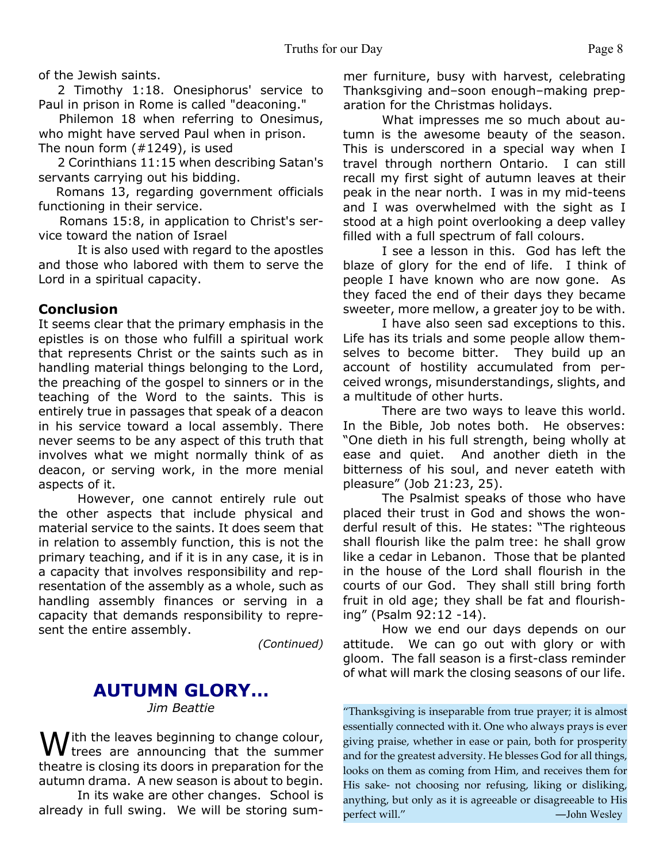of the Jewish saints.

2 Timothy 1:18. Onesiphorus' service to Paul in prison in Rome is called "deaconing."

Philemon 18 when referring to Onesimus, who might have served Paul when in prison. The noun form (#1249), is used

2 Corinthians 11:15 when describing Satan's servants carrying out his bidding.

 Romans 13, regarding government officials functioning in their service.

 Romans 15:8, in application to Christ's service toward the nation of Israel

It is also used with regard to the apostles and those who labored with them to serve the Lord in a spiritual capacity.

#### **Conclusion**

It seems clear that the primary emphasis in the epistles is on those who fulfill a spiritual work that represents Christ or the saints such as in handling material things belonging to the Lord, the preaching of the gospel to sinners or in the teaching of the Word to the saints. This is entirely true in passages that speak of a deacon in his service toward a local assembly. There never seems to be any aspect of this truth that involves what we might normally think of as deacon, or serving work, in the more menial aspects of it.

 However, one cannot entirely rule out the other aspects that include physical and material service to the saints. It does seem that in relation to assembly function, this is not the primary teaching, and if it is in any case, it is in a capacity that involves responsibility and representation of the assembly as a whole, such as handling assembly finances or serving in a capacity that demands responsibility to represent the entire assembly.

*(Continued)*

#### **AUTUMN GLORY…** *Jim Beattie*

With the leaves beginning to change colour,<br>we trees are announcing that the summer theatre is closing its doors in preparation for the autumn drama. A new season is about to begin.

In its wake are other changes. School is already in full swing. We will be storing summer furniture, busy with harvest, celebrating Thanksgiving and–soon enough–making preparation for the Christmas holidays.

What impresses me so much about autumn is the awesome beauty of the season. This is underscored in a special way when I travel through northern Ontario. I can still recall my first sight of autumn leaves at their peak in the near north. I was in my mid-teens and I was overwhelmed with the sight as I stood at a high point overlooking a deep valley filled with a full spectrum of fall colours.

I see a lesson in this. God has left the blaze of glory for the end of life. I think of people I have known who are now gone. As they faced the end of their days they became sweeter, more mellow, a greater joy to be with.

I have also seen sad exceptions to this. Life has its trials and some people allow themselves to become bitter. They build up an account of hostility accumulated from perceived wrongs, misunderstandings, slights, and a multitude of other hurts.

There are two ways to leave this world. In the Bible, Job notes both. He observes: "One dieth in his full strength, being wholly at ease and quiet. And another dieth in the bitterness of his soul, and never eateth with pleasure" (Job 21:23, 25).

The Psalmist speaks of those who have placed their trust in God and shows the wonderful result of this. He states: "The righteous shall flourish like the palm tree: he shall grow like a cedar in Lebanon. Those that be planted in the house of the Lord shall flourish in the courts of our God. They shall still bring forth fruit in old age; they shall be fat and flourishing" (Psalm 92:12 -14).

How we end our days depends on our attitude. We can go out with glory or with gloom. The fall season is a first-class reminder of what will mark the closing seasons of our life.

"Thanksgiving is inseparable from true prayer; it is almost essentially connected with it. One who always prays is ever giving praise, whether in ease or pain, both for prosperity and for the greatest adversity. He blesses God for all things, looks on them as coming from Him, and receives them for His sake- not choosing nor refusing, liking or disliking, anything, but only as it is agreeable or disagreeable to His perfect will." —  $\qquad$  — John Wesley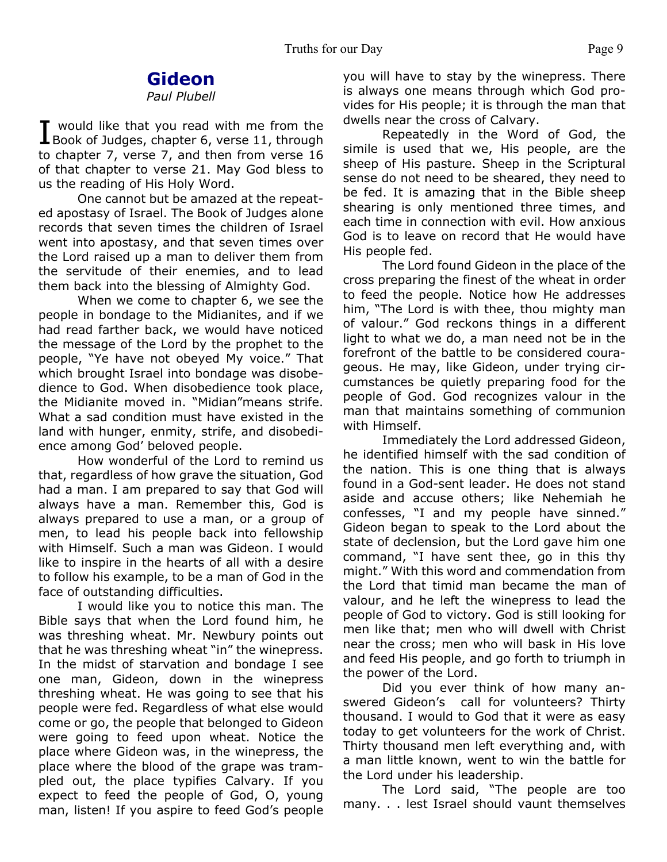# **Gideon**

#### *Paul Plubell*

I would like that you read with me from the<br>Book of Judges, chapter 6, verse 11, through would like that you read with me from the to chapter 7, verse 7, and then from verse 16 of that chapter to verse 21. May God bless to us the reading of His Holy Word.

One cannot but be amazed at the repeated apostasy of Israel. The Book of Judges alone records that seven times the children of Israel went into apostasy, and that seven times over the Lord raised up a man to deliver them from the servitude of their enemies, and to lead them back into the blessing of Almighty God.

When we come to chapter 6, we see the people in bondage to the Midianites, and if we had read farther back, we would have noticed the message of the Lord by the prophet to the people, "Ye have not obeyed My voice." That which brought Israel into bondage was disobedience to God. When disobedience took place, the Midianite moved in. "Midian"means strife. What a sad condition must have existed in the land with hunger, enmity, strife, and disobedience among God' beloved people.

How wonderful of the Lord to remind us that, regardless of how grave the situation, God had a man. I am prepared to say that God will always have a man. Remember this, God is always prepared to use a man, or a group of men, to lead his people back into fellowship with Himself. Such a man was Gideon. I would like to inspire in the hearts of all with a desire to follow his example, to be a man of God in the face of outstanding difficulties.

I would like you to notice this man. The Bible says that when the Lord found him, he was threshing wheat. Mr. Newbury points out that he was threshing wheat "in" the winepress. In the midst of starvation and bondage I see one man, Gideon, down in the winepress threshing wheat. He was going to see that his people were fed. Regardless of what else would come or go, the people that belonged to Gideon were going to feed upon wheat. Notice the place where Gideon was, in the winepress, the place where the blood of the grape was trampled out, the place typifies Calvary. If you expect to feed the people of God, O, young man, listen! If you aspire to feed God's people

you will have to stay by the winepress. There is always one means through which God provides for His people; it is through the man that dwells near the cross of Calvary.

Repeatedly in the Word of God, the simile is used that we, His people, are the sheep of His pasture. Sheep in the Scriptural sense do not need to be sheared, they need to be fed. It is amazing that in the Bible sheep shearing is only mentioned three times, and each time in connection with evil. How anxious God is to leave on record that He would have His people fed.

The Lord found Gideon in the place of the cross preparing the finest of the wheat in order to feed the people. Notice how He addresses him, "The Lord is with thee, thou mighty man of valour." God reckons things in a different light to what we do, a man need not be in the forefront of the battle to be considered courageous. He may, like Gideon, under trying circumstances be quietly preparing food for the people of God. God recognizes valour in the man that maintains something of communion with Himself.

Immediately the Lord addressed Gideon, he identified himself with the sad condition of the nation. This is one thing that is always found in a God-sent leader. He does not stand aside and accuse others; like Nehemiah he confesses, "I and my people have sinned." Gideon began to speak to the Lord about the state of declension, but the Lord gave him one command, "I have sent thee, go in this thy might." With this word and commendation from the Lord that timid man became the man of valour, and he left the winepress to lead the people of God to victory. God is still looking for men like that; men who will dwell with Christ near the cross; men who will bask in His love and feed His people, and go forth to triumph in the power of the Lord.

Did you ever think of how many answered Gideon's call for volunteers? Thirty thousand. I would to God that it were as easy today to get volunteers for the work of Christ. Thirty thousand men left everything and, with a man little known, went to win the battle for the Lord under his leadership.

The Lord said, "The people are too many. . . lest Israel should vaunt themselves